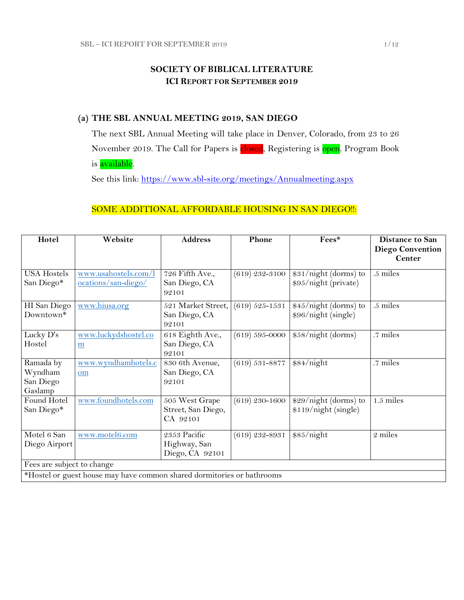## **SOCIETY OF BIBLICAL LITERATURE ICI REPORT FOR SEPTEMBER 2019**

## **(a) THE SBL ANNUAL MEETING 2019, SAN DIEGO**

The next SBL Annual Meeting will take place in Denver, Colorado, from 23 to 26 November 2019. The Call for Papers is closed, Registering is open. Program Book is available.

See this link:<https://www.sbl-site.org/meetings/Annualmeeting.aspx>

## SOME ADDITIONAL AFFORDABLE HOUSING IN SAN DIEGO !!:

| Hotel                                                                  | Website                                          | <b>Address</b>                                   | Phone              | Fees*                                         | <b>Distance to San</b><br><b>Diego Convention</b> |
|------------------------------------------------------------------------|--------------------------------------------------|--------------------------------------------------|--------------------|-----------------------------------------------|---------------------------------------------------|
|                                                                        |                                                  |                                                  |                    |                                               | <b>Center</b>                                     |
| <b>USA Hostels</b><br>San Diego*                                       | www.usahostels.com/l<br>ocations/san-diego/      | 726 Fifth Ave.,<br>San Diego, CA<br>92101        | $(619)$ 232-3100   | \$31/night (dorms) to<br>\$95/night (private) | .5 miles                                          |
| HI San Diego<br>Downtown*                                              | www.hiusa.org                                    | 521 Market Street,<br>San Diego, CA<br>92101     | $(619) 525 - 1531$ | \$45/night (dorms) to<br>\$96/night (single)  | .5 miles                                          |
| Lucky D's<br>Hostel                                                    | www.luckydshostel.co<br>$\underline{\mathbf{m}}$ | 618 Eighth Ave.,<br>San Diego, CA<br>92101       | $(619) 595 - 0000$ | \$58/night (dorms)                            | .7 miles                                          |
| Ramada by<br>Wyndham<br>San Diego<br>Gaslamp                           | www.wyndhamhotels.c<br>om                        | 830 6th Avenue,<br>San Diego, CA<br>92101        | $(619) 531 - 8877$ | \$84/night                                    | .7 miles                                          |
| Found Hotel<br>San Diego*                                              | www.foundhotels.com                              | 505 West Grape<br>Street, San Diego,<br>CA 92101 | $(619)$ 230-1600   | \$29/night (dorms) to<br>\$119/night (single) | $1.5$ miles                                       |
| Motel 6 San<br>Diego Airport                                           | www.motel6.com                                   | 2353 Pacific<br>Highway, San<br>Diego, CA 92101  | $(619)$ 232-8931   | \$85/night                                    | 2 miles                                           |
| Fees are subject to change                                             |                                                  |                                                  |                    |                                               |                                                   |
| *Hostel or guest house may have common shared dormitories or bathrooms |                                                  |                                                  |                    |                                               |                                                   |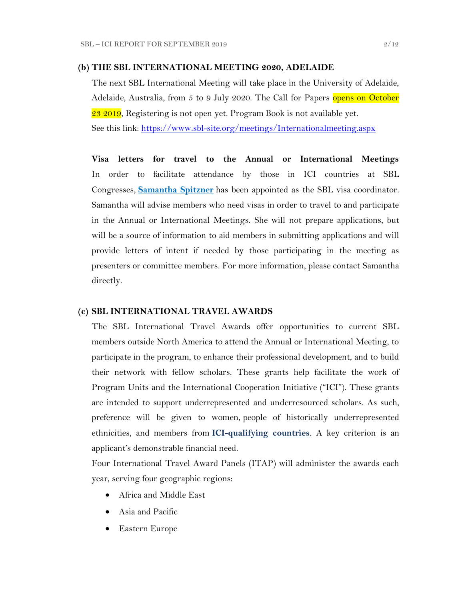#### **(b) THE SBL INTERNATIONAL MEETING 2020, ADELAIDE**

The next SBL International Meeting will take place in the University of Adelaide, Adelaide, Australia, from 5 to 9 July 2020. The Call for Papers opens on October 23 2019, Registering is not open yet. Program Book is not available yet. See this link:<https://www.sbl-site.org/meetings/Internationalmeeting.aspx>

**Visa letters for travel to the Annual or International Meetings** In order to facilitate attendance by those in ICI countries at SBL Congresses, **[Samantha Spitzner](mailto:samantha.spitzner@sbl-site.org)** has been appointed as the SBL visa coordinator. Samantha will advise members who need visas in order to travel to and participate in the Annual or International Meetings. She will not prepare applications, but will be a source of information to aid members in submitting applications and will provide letters of intent if needed by those participating in the meeting as presenters or committee members. For more information, please contact Samantha directly.

#### **(c) SBL INTERNATIONAL TRAVEL AWARDS**

The SBL International Travel Awards offer opportunities to current SBL members outside North America to attend the Annual or International Meeting, to participate in the program, to enhance their professional development, and to build their network with fellow scholars. These grants help facilitate the work of Program Units and the International Cooperation Initiative ("ICI"). These grants are intended to support underrepresented and underresourced scholars. As such, preference will be given to women, people of historically underrepresented ethnicities, and members from **[ICI-qualifying countries](https://www.sbl-site.org/assets/pdfs/ICIcountries.pdf)**. A key criterion is an applicant's demonstrable financial need.

Four International Travel Award Panels (ITAP) will administer the awards each year, serving four geographic regions:

- Africa and Middle East
- Asia and Pacific
- Eastern Europe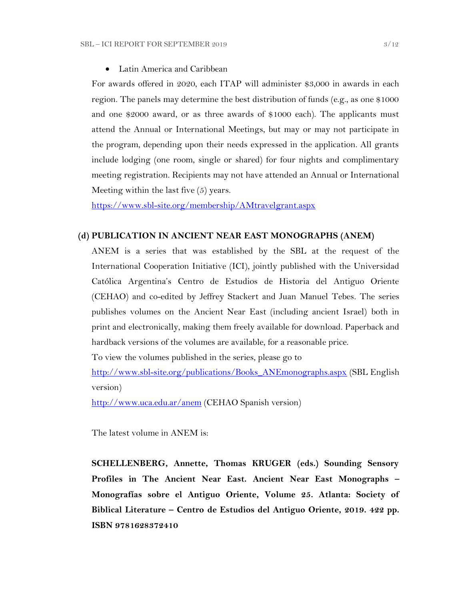Latin America and Caribbean

For awards offered in 2020, each ITAP will administer \$3,000 in awards in each region. The panels may determine the best distribution of funds (e.g., as one \$1000 and one \$2000 award, or as three awards of \$1000 each). The applicants must attend the Annual or International Meetings, but may or may not participate in the program, depending upon their needs expressed in the application. All grants include lodging (one room, single or shared) for four nights and complimentary meeting registration. Recipients may not have attended an Annual or International Meeting within the last five (5) years.

<https://www.sbl-site.org/membership/AMtravelgrant.aspx>

#### **(d) PUBLICATION IN [ANCIENT NEAR EAST MONOGRAPHS](http://www.sbl-site.org/publications/Books_ANEmonographs.aspx) (ANEM)**

ANEM is a series that was established by the SBL at the request of the International Cooperation Initiative (ICI), jointly published with the Universidad Católica Argentina's Centro de Estudios de Historia del Antiguo Oriente (CEHAO) and co-edited by Jeffrey Stackert and Juan Manuel Tebes. The series publishes volumes on the Ancient Near East (including ancient Israel) both in print and electronically, making them freely available for download. Paperback and hardback versions of the volumes are available, for a reasonable price.

To view the volumes published in the series, please go to

[http://www.sbl-site.org/publications/Books\\_ANEmonographs.aspx](http://www.sbl-site.org/publications/Books_ANEmonographs.aspx) (SBL English version)

<http://www.uca.edu.ar/anem> (CEHAO Spanish version)

The latest volume in ANEM is:

**SCHELLENBERG, Annette, Thomas KRUGER (eds.) Sounding Sensory Profiles in The Ancient Near East. Ancient Near East Monographs – Monografías sobre el Antiguo Oriente, Volume 25. Atlanta: Society of Biblical Literature – Centro de Estudios del Antiguo Oriente, 2019. 422 pp. ISBN 9781628372410**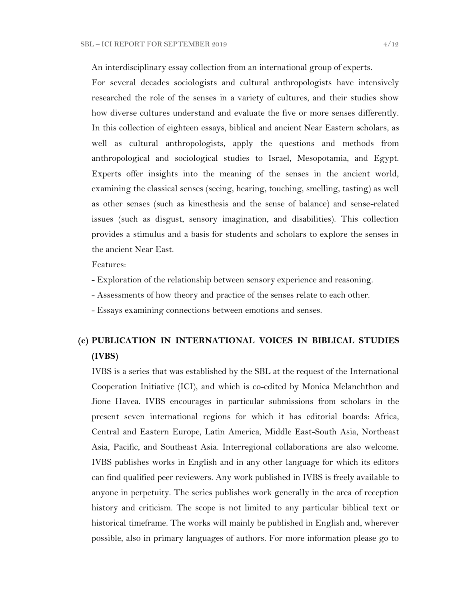An interdisciplinary essay collection from an international group of experts.

For several decades sociologists and cultural anthropologists have intensively researched the role of the senses in a variety of cultures, and their studies show how diverse cultures understand and evaluate the five or more senses differently. In this collection of eighteen essays, biblical and ancient Near Eastern scholars, as well as cultural anthropologists, apply the questions and methods from anthropological and sociological studies to Israel, Mesopotamia, and Egypt. Experts offer insights into the meaning of the senses in the ancient world, examining the classical senses (seeing, hearing, touching, smelling, tasting) as well as other senses (such as kinesthesis and the sense of balance) and sense-related issues (such as disgust, sensory imagination, and disabilities). This collection provides a stimulus and a basis for students and scholars to explore the senses in the ancient Near East.

Features:

- Exploration of the relationship between sensory experience and reasoning.
- Assessments of how theory and practice of the senses relate to each other.
- Essays examining connections between emotions and senses.

# **(e) PUBLICATION IN INTERNATIONAL VOICES IN BIBLICAL STUDIES (IVBS)**

IVBS is a series that was established by the SBL at the request of the International Cooperation Initiative (ICI), and which is co-edited by Monica Melanchthon and Jione Havea. IVBS encourages in particular submissions from scholars in the present seven international regions for which it has editorial boards: Africa, Central and Eastern Europe, Latin America, Middle East-South Asia, Northeast Asia, Pacific, and Southeast Asia. Interregional collaborations are also welcome. IVBS publishes works in English and in any other language for which its editors can find qualified peer reviewers. Any work published in IVBS is freely available to anyone in perpetuity. The series publishes work generally in the area of reception history and criticism. The scope is not limited to any particular biblical text or historical timeframe. The works will mainly be published in English and, wherever possible, also in primary languages of authors. For more information please go to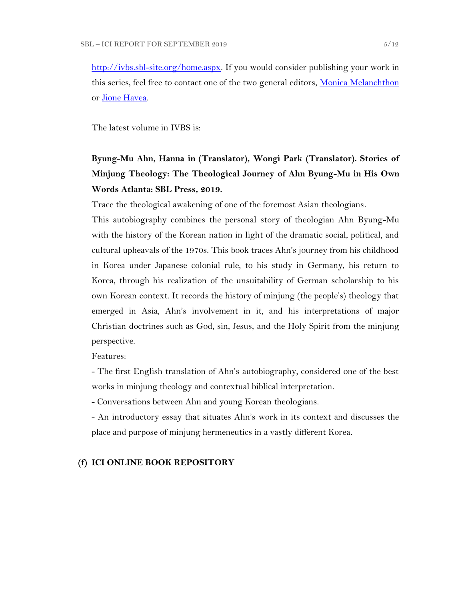[http://ivbs.sbl-site.org/home.aspx.](http://ivbs.sbl-site.org/home.aspx) If you would consider publishing your work in this series, feel free to contact one of the two general editors, [Monica Melanchthon](mailto:ivbs2010@gmail.com) or [Jione Havea.](mailto:jioneh@nsw.uca.org.au)

The latest volume in IVBS is:

# **Byung-Mu Ahn, Hanna in (Translator), Wongi Park (Translator). Stories of Minjung Theology: The Theological Journey of Ahn Byung-Mu in His Own Words Atlanta: SBL Press, 2019.**

Trace the theological awakening of one of the foremost Asian theologians.

This autobiography combines the personal story of theologian Ahn Byung-Mu with the history of the Korean nation in light of the dramatic social, political, and cultural upheavals of the 1970s. This book traces Ahn's journey from his childhood in Korea under Japanese colonial rule, to his study in Germany, his return to Korea, through his realization of the unsuitability of German scholarship to his own Korean context. It records the history of minjung (the people's) theology that emerged in Asia, Ahn's involvement in it, and his interpretations of major Christian doctrines such as God, sin, Jesus, and the Holy Spirit from the minjung perspective.

Features:

- The first English translation of Ahn's autobiography, considered one of the best works in minjung theology and contextual biblical interpretation.

- Conversations between Ahn and young Korean theologians.

- An introductory essay that situates Ahn's work in its context and discusses the place and purpose of minjung hermeneutics in a vastly different Korea.

#### **(f) ICI ONLINE BOOK REPOSITORY**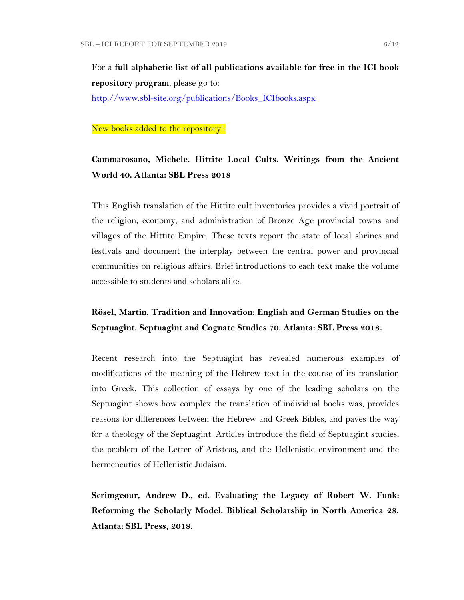For a **full alphabetic list of all publications available for free in the ICI book repository program**, please go to:

[http://www.sbl-site.org/publications/Books\\_ICIbooks.aspx](http://www.sbl-site.org/publications/Books_ICIbooks.aspx)

#### New books added to the repository!:

## **Cammarosano, Michele. Hittite Local Cults. Writings from the Ancient World 40. Atlanta: SBL Press 2018**

This English translation of the Hittite cult inventories provides a vivid portrait of the religion, economy, and administration of Bronze Age provincial towns and villages of the Hittite Empire. These texts report the state of local shrines and festivals and document the interplay between the central power and provincial communities on religious affairs. Brief introductions to each text make the volume accessible to students and scholars alike.

## **Rösel, Martin. Tradition and Innovation: English and German Studies on the Septuagint. Septuagint and Cognate Studies 70. Atlanta: SBL Press 2018.**

Recent research into the Septuagint has revealed numerous examples of modifications of the meaning of the Hebrew text in the course of its translation into Greek. This collection of essays by one of the leading scholars on the Septuagint shows how complex the translation of individual books was, provides reasons for differences between the Hebrew and Greek Bibles, and paves the way for a theology of the Septuagint. Articles introduce the field of Septuagint studies, the problem of the Letter of Aristeas, and the Hellenistic environment and the hermeneutics of Hellenistic Judaism.

**Scrimgeour, Andrew D., ed. Evaluating the Legacy of Robert W. Funk: Reforming the Scholarly Model. Biblical Scholarship in North America 28. Atlanta: SBL Press, 2018.**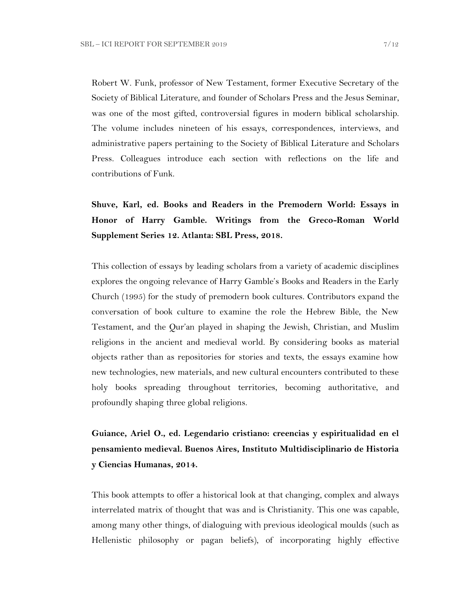Robert W. Funk, professor of New Testament, former Executive Secretary of the Society of Biblical Literature, and founder of Scholars Press and the Jesus Seminar, was one of the most gifted, controversial figures in modern biblical scholarship. The volume includes nineteen of his essays, correspondences, interviews, and administrative papers pertaining to the Society of Biblical Literature and Scholars Press. Colleagues introduce each section with reflections on the life and contributions of Funk.

**Shuve, Karl, ed. Books and Readers in the Premodern World: Essays in Honor of Harry Gamble. Writings from the Greco-Roman World Supplement Series 12. Atlanta: SBL Press, 2018.**

This collection of essays by leading scholars from a variety of academic disciplines explores the ongoing relevance of Harry Gamble's Books and Readers in the Early Church (1995) for the study of premodern book cultures. Contributors expand the conversation of book culture to examine the role the Hebrew Bible, the New Testament, and the Qur'an played in shaping the Jewish, Christian, and Muslim religions in the ancient and medieval world. By considering books as material objects rather than as repositories for stories and texts, the essays examine how new technologies, new materials, and new cultural encounters contributed to these holy books spreading throughout territories, becoming authoritative, and profoundly shaping three global religions.

**Guiance, Ariel O., ed. Legendario cristiano: creencias y espiritualidad en el pensamiento medieval. Buenos Aires, Instituto Multidisciplinario de Historia y Ciencias Humanas, 2014.**

This book attempts to offer a historical look at that changing, complex and always interrelated matrix of thought that was and is Christianity. This one was capable, among many other things, of dialoguing with previous ideological moulds (such as Hellenistic philosophy or pagan beliefs), of incorporating highly effective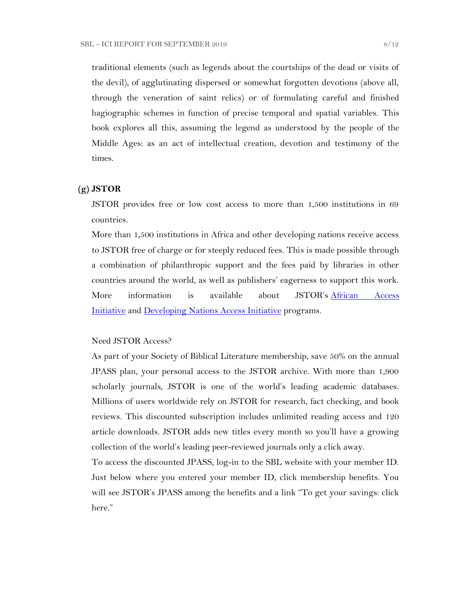traditional elements (such as legends about the courtships of the dead or visits of the devil), of agglutinating dispersed or somewhat forgotten devotions (above all, through the veneration of saint relics) or of formulating careful and finished hagiographic schemes in function of precise temporal and spatial variables. This book explores all this, assuming the legend as understood by the people of the Middle Ages: as an act of intellectual creation, devotion and testimony of the times.

#### **(g) JSTOR**

JSTOR provides free or low cost access to more than 1,500 institutions in 69 countries.

More than 1,500 institutions in Africa and other developing nations receive access to JSTOR free of charge or for steeply reduced fees. This is made possible through a combination of philanthropic support and the fees paid by libraries in other countries around the world, as well as publishers' eagerness to support this work. More information is available about JSTOR's African Access [Initiative](http://about.jstor.org/libraries/african-access-initiative) and [Developing Nations Access Initiative](http://about.jstor.org/libraries/developing-nations-access-initiative) programs.

#### Need JSTOR Access?

As part of your Society of Biblical Literature membership, save 50% on the annual JPASS plan, your personal access to the JSTOR archive. With more than 1,900 scholarly journals, JSTOR is one of the world's leading academic databases. Millions of users worldwide rely on JSTOR for research, fact checking, and book reviews. This discounted subscription includes unlimited reading access and 120 article downloads. JSTOR adds new titles every month so you'll have a growing collection of the world's leading peer-reviewed journals only a click away.

To access the discounted JPASS, log-in to the SBL website with your member ID. Just below where you entered your member ID, click membership benefits. You will see JSTOR's JPASS among the benefits and a link "To get your savings: click" here."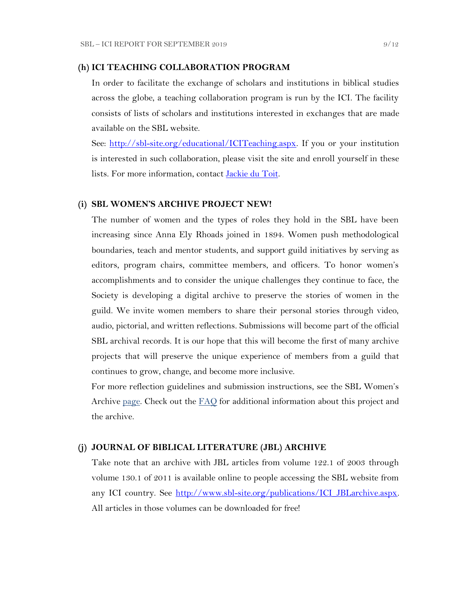#### **(h) ICI TEACHING COLLABORATION PROGRAM**

In order to facilitate the exchange of scholars and institutions in biblical studies across the globe, a teaching collaboration program is run by the ICI. The facility consists of lists of scholars and institutions interested in exchanges that are made available on the SBL website.

See: [http://sbl-site.org/educational/ICITeaching.aspx.](http://sbl-site.org/educational/ICITeaching.aspx) If you or your institution is interested in such collaboration, please visit the site and enroll yourself in these lists. For more information, contact [Jackie du Toit.](mailto:dutoitjs@ufs.ac.za)

#### **(i) SBL WOMEN'S ARCHIVE PROJECT NEW!**

The number of women and the types of roles they hold in the SBL have been increasing since Anna Ely Rhoads joined in 1894. Women push methodological boundaries, teach and mentor students, and support guild initiatives by serving as editors, program chairs, committee members, and officers. To honor women's accomplishments and to consider the unique challenges they continue to face, the Society is developing a digital archive to preserve the stories of women in the guild. We invite women members to share their personal stories through video, audio, pictorial, and written reflections. Submissions will become part of the official SBL archival records. It is our hope that this will become the first of many archive projects that will preserve the unique experience of members from a guild that continues to grow, change, and become more inclusive.

For more reflection guidelines and submission instructions, see the SBL Women's Archive <u>page</u>. Check out the **[FAQ](http://r20.rs6.net/tn.jsp?f=001daD3lBrhj8ZbS8-GLHmkkfCXBAC1VygxiIGaWr04TSwAe6xpaQQvNJKWplVAEpG6TEU1_8KlnBObWx0oZC8x7WoLEp77_1CFtxX0KaAFLBjOBdYTd2f5qgWSoEYDRce9P__OLb1j9qY-AF3VQc1Y44LRzHcBpPqZU-EHsK1QZTJIoW4LFbKk7i8Ng-wzmNHDH6gAjZEh02zQc7Hju5X1UnsIvXFI2f0S&c=eIPPqaSd2_Vy4YClv5OeeUxZS30eJVZ-NpEqtmoT_RO1qkg45kBI_g==&ch=TNoNbOW4OE_N3IXbNrssVzBYer7u1PunhQWZuBYieCMVeDT7hGjUZQ==)** for additional information about this project and the archive.

#### **(j) JOURNAL OF BIBLICAL LITERATURE (JBL) ARCHIVE**

Take note that an archive with JBL articles from volume 122.1 of 2003 through volume 130.1 of 2011 is available online to people accessing the SBL website from any ICI country. See [http://www.sbl-site.org/publications/ICI\\_JBLarchive.aspx.](http://www.sbl-site.org/publications/ICI_JBLarchive.aspx)  All articles in those volumes can be downloaded for free!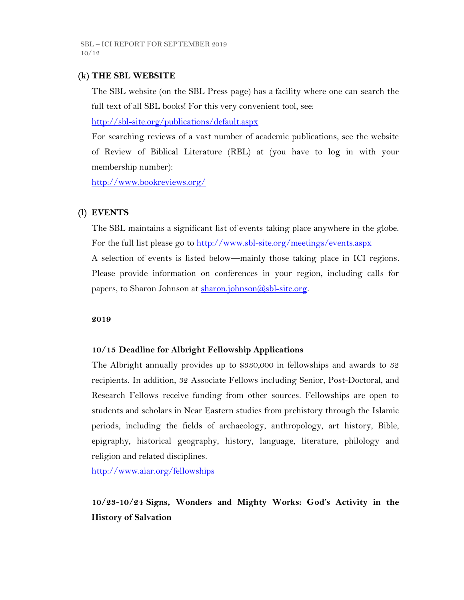## **(k) THE SBL WEBSITE**

The SBL website (on the SBL Press page) has a facility where one can search the full text of all SBL books! For this very convenient tool, see:

<http://sbl-site.org/publications/default.aspx>

For searching reviews of a vast number of academic publications, see the website of Review of Biblical Literature (RBL) at (you have to log in with your membership number):

<http://www.bookreviews.org/>

## **(l) EVENTS**

The SBL maintains a significant list of events taking place anywhere in the globe. For the full list please go to<http://www.sbl-site.org/meetings/events.aspx> A selection of events is listed below—mainly those taking place in ICI regions. Please provide information on conferences in your region, including calls for papers, to Sharon Johnson at  $\frac{\text{sharon.}(\hat{a}, \text{sb1-site.} \text{org.}}{\text{g.}}$ 

### **2019**

## **10/15 Deadline for Albright Fellowship Applications**

The Albright annually provides up to \$330,000 in fellowships and awards to 32 recipients. In addition, 32 Associate Fellows including Senior, Post-Doctoral, and Research Fellows receive funding from other sources. Fellowships are open to students and scholars in Near Eastern studies from prehistory through the Islamic periods, including the fields of archaeology, anthropology, art history, Bible, epigraphy, historical geography, history, language, literature, philology and religion and related disciplines.

<http://www.aiar.org/fellowships>

# **10/23-10/24 Signs, Wonders and Mighty Works: God's Activity in the History of Salvation**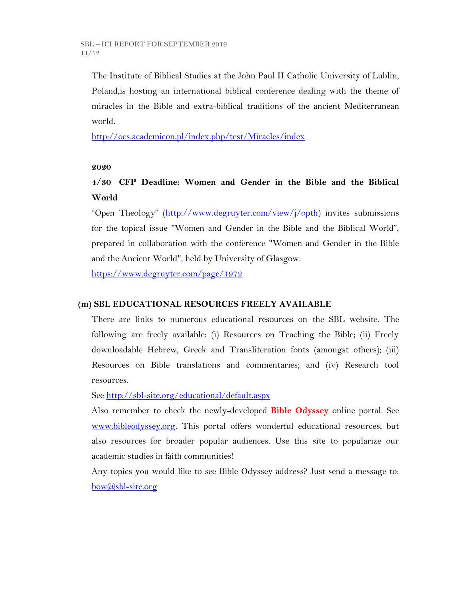The Institute of Biblical Studies at the John Paul II Catholic University of Lublin, Poland,is hosting an international biblical conference dealing with the theme of miracles in the Bible and extra-biblical traditions of the ancient Mediterranean world.

<http://ocs.academicon.pl/index.php/test/Miracles/index>

### **2020**

## **4/30 CFP Deadline: Women and Gender in the Bible and the Biblical World**

"Open Theology" ([http://www.degruyter.com/view/j/opth\)](http://www.degruyter.com/view/j/opth) invites submissions for the topical issue "Women and Gender in the Bible and the Biblical World", prepared in collaboration with the conference "Women and Gender in the Bible and the Ancient World", held by University of Glasgow.

<https://www.degruyter.com/page/1972>

## **(m) SBL EDUCATIONAL RESOURCES FREELY AVAILABLE**

There are links to numerous educational resources on the SBL website. The following are freely available: (i) Resources on Teaching the Bible; (ii) Freely downloadable Hebrew, Greek and Transliteration fonts (amongst others); (iii) Resources on Bible translations and commentaries; and (iv) Research tool resources.

See<http://sbl-site.org/educational/default.aspx>

Also remember to check the newly-developed **Bible Odyssey** online portal. See [www.bibleodyssey.org.](http://www.bibleodyssey.org/) This portal offers wonderful educational resources, but also resources for broader popular audiences. Use this site to popularize our academic studies in faith communities!

Any topics you would like to see Bible Odyssey address? Just send a message to: [bow@sbl-site.org](mailto:bow@sbl-site.org)